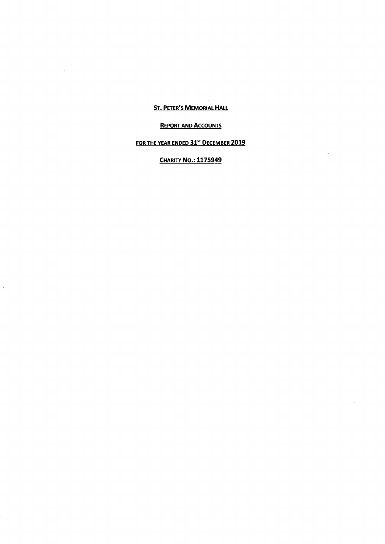## **ST. PETER'S MEMORIAL HALL**

# **REPORT AND ACCOUNTS**

# FOR THE YEAR ENDED 31<sup>st</sup> DECEMBER 2019

# **CHARITY NO.: 1175949**

 $\sim$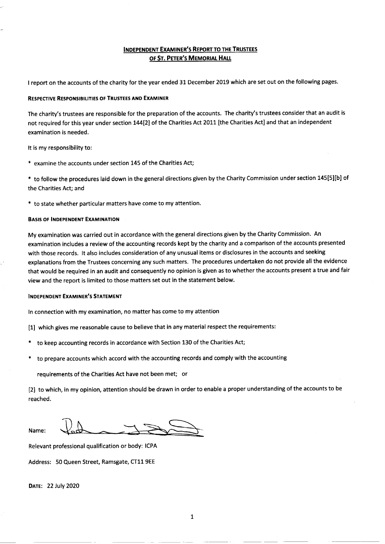## INDEPENDENT EXAMINER'S REPORT TO THE TRUSTEES OF ST. PETER'S MEMORIAL HALL

<sup>I</sup> report on the accounts of the charity for the year ended 31 December 2019 which are set out on the following pages.

#### RESPEcTIYE REsPoNslBILITIEs oF TRUSTEES AND ExAMINER

The charity's trustees are responsible for the preparation of the accounts. The charity's trustees consider that an audit is not required for this year under section 144[2] of the Charities Act 2011 [the Charities Act] and that an independent examination is needed.

It is my responsibility to:

\* examine the accounts under section 145 of the Charities Act;

\* to follow the procedures laid down in the general directions given by the Charity Commission under section 145[5][b] of the Charities Act; and

\* to state whether particular matters have come to my attention.

#### BASIS OF INDEPENDENT EXAMINATION

My examination was carried out in accordance with the general directions given by the Charity Commission. An examination includes a review of the accounting records kept by the charity and a comparison of the accounts presented with those records. It also includes consideration of any unusual items or disclosures in the accounts and seeking explanations from the Trustees concerning any such matters. The procedures undertaken do not provide all the evidence that would be required in an audit and consequently no opinion is given as to whether the accounts present a true and fair view and the report is limited to those matters set out in the statement below.

#### INDEPENDENT EXAMINER'S STATEMENT

In connection with my examination, no matter has come to my attention

- [1] which gives me reasonable cause to believe that in any material respect the requirements:
- to keep accounting records in accordance with Section 130 of the Charities Act;
- to prepare accounts which accord with the accounting records and comply with the accounting

requirements of the Charities Act have not been met; or

[2] to which, in my opinion, attention should be drawn in order to enable <sup>a</sup> proper understanding of the accounts to be reached.

Name:

Relevant professional qualification or body: ICPA

Address: 50 Queen Street, Ramsgate, CT11 9EE

DATE: 22 July 2020

 $\mathbf 1$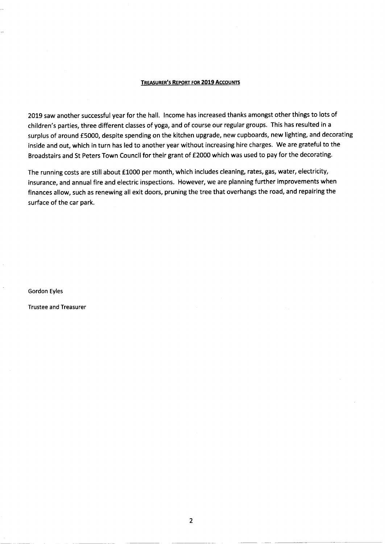### TREASURER'S REPORT FOR 2019 ACCOUNTS

2019 saw another successful year for the hall. Income has increased thanks amongst other things to lots of children's parties, three different classes of yoga, and of course our regular groups. This has resulted in a surplus of around £5000, despite spending on the kitchen upgrade, new cupboards, new lighting, and decorating inside and out, which in turn has led to another year without increasing hire charges. We are grateful to the Broadstairs and St Peters Town Council for their grant of f<sup>2000</sup> which was used to pay for the decorating.

The running costs are still about £1000 per month, which includes cleaning, rates, gas, water, electricity, insurance, and annual fire and electric inspections. However, we are planning further improvements when finances allow, such as renewing all exit doors, pruning the tree that overhangs the road, and repairing the surface of the car park.

Gordon Eyles

Trustee and Treasurer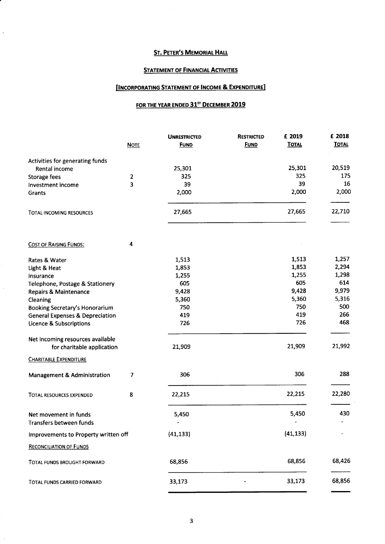# **ST. PETER'S MEMORIAL HALL**

## **STATEMENT OF FINANCIAL ACTIVITIES**

## **[INCORPORATING STATEMENT OF INCOME & EXPENDITURE]**

# FOR THE YEAR ENDED 31<sup>ST</sup> DECEMBER 2019

|                                            |             | <b>UNRESTRICTED</b> | <b>RESTRICTED</b> | £ 2019       | £ 2018       |
|--------------------------------------------|-------------|---------------------|-------------------|--------------|--------------|
|                                            | <b>NOTE</b> | <b>FUND</b>         | <b>FUND</b>       | <b>TOTAL</b> | <b>TOTAL</b> |
| Activities for generating funds            |             |                     |                   |              |              |
| Rental income                              |             | 25,301              |                   | 25,301       | 20,519       |
| Storage fees                               | 2           | 325                 |                   | 325          | 175          |
| Investment income                          | 3           | 39                  |                   | 39           | 16           |
| Grants                                     |             | 2,000               |                   | 2,000        | 2,000        |
| TOTAL INCOMING RESOURCES                   |             | 27,665              |                   | 27,665       | 22,710       |
|                                            |             |                     |                   |              |              |
| <b>COST OF RAISING FUNDS:</b>              | 4           |                     |                   |              |              |
| Rates & Water                              |             | 1,513               |                   | 1,513        | 1,257        |
| Light & Heat                               |             | 1,853               |                   | 1,853        | 2,294        |
| Insurance                                  |             | 1,255               |                   | 1,255        | 1,298        |
| Telephone, Postage & Stationery            |             | 605                 |                   | 605          | 614          |
| <b>Repairs &amp; Maintenance</b>           |             | 9,428               |                   | 9,428        | 9,979        |
| Cleaning                                   |             | 5,360               |                   | 5,360        | 5,316        |
| Booking Secretary's Honorarium             |             | 750                 |                   | 750          | 500          |
| <b>General Expenses &amp; Depreciation</b> |             | 419                 |                   | 419          | 266          |
| Licence & Subscriptions                    |             | 726                 |                   | 726          | 468          |
| Net incoming resources available           |             |                     |                   |              |              |
| for charitable application                 |             | 21,909              |                   | 21,909       | 21,992       |
| <b>CHARITABLE EXPENDITURE</b>              |             |                     |                   |              |              |
| <b>Management &amp; Administration</b>     | 7           | 306                 |                   | 306          | 288          |
| <b>TOTAL RESOURCES EXPENDED</b>            | 8           | 22,215              |                   | 22,215       | 22,280       |
| Net movement in funds                      |             | 5,450               |                   | 5,450        | 430          |
| Transfers between funds                    |             |                     |                   |              |              |
| Improvements to Property written off       |             | (41, 133)           |                   | (41, 133)    |              |
| <b>RECONCILIATION OF FUNDS</b>             |             |                     |                   |              |              |
| TOTAL FUNDS BROUGHT FORWARD                |             | 68,856              |                   | 68,856       | 68,426       |
| TOTAL FUNDS CARRIED FORWARD                |             | 33,173              |                   | 33,173       | 68,856       |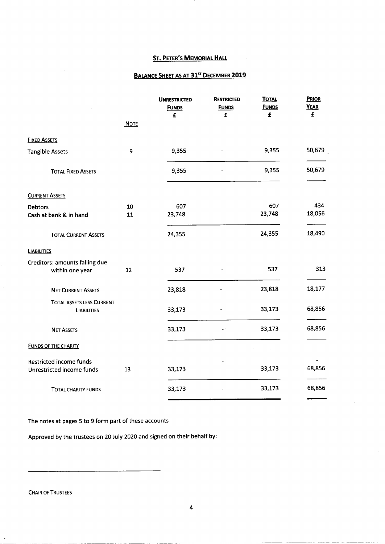# **ST. PETER'S MEMORIAL HALL**

## BALANCE SHEET AS AT 31<sup>ST</sup> DECEMBER 2019

|                                                 |             | <b>UNRESTRICTED</b><br><b>FUNDS</b><br>£ | <b>RESTRICTED</b><br><b>FUNDS</b><br>£ | <b>TOTAL</b><br><b>FUNDS</b><br>£ | PRIOR<br><b>YEAR</b><br>£ |
|-------------------------------------------------|-------------|------------------------------------------|----------------------------------------|-----------------------------------|---------------------------|
|                                                 | <b>NOTE</b> |                                          |                                        |                                   |                           |
| <b>FIXED ASSETS</b>                             |             |                                          |                                        |                                   |                           |
| <b>Tangible Assets</b>                          | 9           | 9,355                                    |                                        | 9,355                             | 50,679                    |
| <b>TOTAL FIXED ASSETS</b>                       |             | 9,355                                    |                                        | 9,355                             | 50,679                    |
| <b>CURRENT ASSETS</b>                           |             |                                          |                                        |                                   |                           |
| <b>Debtors</b>                                  | 10          | 607                                      |                                        | 607                               | 434                       |
| Cash at bank & in hand                          | 11          | 23,748                                   |                                        | 23,748                            | 18,056                    |
| <b>TOTAL CURRENT ASSETS</b>                     |             | 24,355                                   |                                        | 24,355                            | 18,490                    |
| <b>LIABILITIES</b>                              |             |                                          |                                        |                                   |                           |
| Creditors: amounts falling due                  |             |                                          |                                        |                                   |                           |
| within one year                                 | 12          | 537                                      |                                        | 537                               | 313                       |
| <b>NET CURRENT ASSETS</b>                       |             | 23,818                                   |                                        | 23,818                            | 18,177                    |
| TOTAL ASSETS LESS CURRENT<br><b>LIABILITIES</b> |             | 33,173                                   |                                        | 33,173                            | 68,856                    |
| <b>NET ASSETS</b>                               |             | 33,173                                   |                                        | 33,173                            | 68,856                    |
| <b>FUNDS OF THE CHARITY</b>                     |             |                                          |                                        |                                   |                           |
| <b>Restricted income funds</b>                  |             |                                          |                                        |                                   |                           |
| Unrestricted income funds                       | 13          | 33,173                                   |                                        | 33,173                            | 68,856                    |
| <b>TOTAL CHARITY FUNDS</b>                      |             | 33,173                                   |                                        | 33,173                            | 68,856                    |
|                                                 |             |                                          |                                        |                                   |                           |

The notes at pages 5 to 9 form part of these accounts

Approved by the trustees on 20 July 2020 and signed on their behalf by:

CHAIR OF TRUSTEES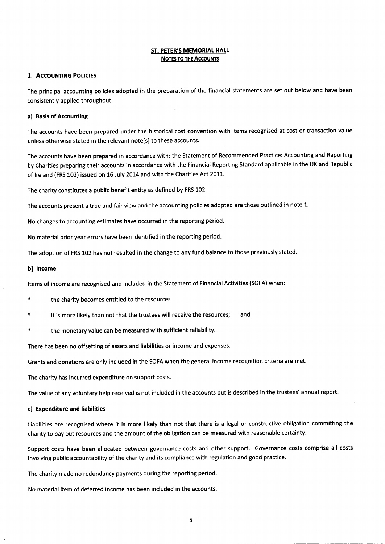#### ST. PETER'S MEMORIAL HALL NOTES TO THE ACCOUNTS

### 1. ACCOUNTING POLICIES

The principal accounting policies adopted in the preparation of the financial statements are set out below and have been consistently applied throughout.

#### a] Basis of Accounting

The accounts have been prepared under the historical cost convention with items recognised at cost or transaction value unless otherwise stated in the relevant note[s] to these accounts.

The accounts have been prepared in accordance with: the Statement of Recommended Practice: Accounting and Reporting by Charities preparing their accounts in accordance with the Financial Reporting Standard applicable in the UK and Republic of Ireland (FRS 102) issued on 16 July 2014 and with the Charities Act 2011.

The charity constitutes a public benefit entity as defined by FRS 102.

The accounts present <sup>a</sup> true and fair view and the accounting policies adopted are those outlined in note 1.

No changes to accounting estimates have occurred in the reporting period.

No material prior year errors have been identified in the reporting period.

The adoption of FRS 102 has not resulted in the change to any fund balance to those previously stated.

#### b] Income

Items of income are recognised and included in the Statement of Financial Activities (SOFA) when:

- the charity becomes entitled to the resources
- it is more likely than not that the trustees will receive the resources; and
- the monetary value can be measured with sufficient reliability.

There has been no offsetting of assets and liabilities or income and expenses.

Grants and donations are only included in the SOFA when the general income recognition criteria are met.

The charity has incurred expenditure on support costs.

The value of any voluntary help received is not included in the accounts but is described in the trustees' annual report.

#### c] Expenditure and liabilities

Liabilities are recognised where it is more likely than not that there is a legal or constructive obligation committing the charity to pay out resources and the amount of the obligation can be measured with reasonable certainty.

Support costs have been allocated between governance costs and other support. Governance costs comprise all costs involving public accountability of the charity and its compliance with regulation and good practice.

The charity made no redundancy payments during the reporting period.

No material item of deferred income has been included in the accounts.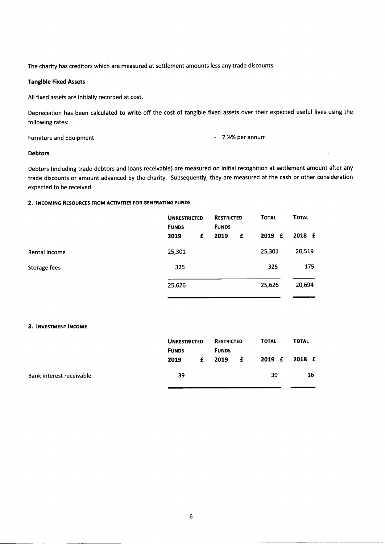The charity has creditors which are measured at settlement amounts less any trade discounts.

## Tangible Fixed Assets

All fixed assets are initially recorded at cost.

Depreciation has been calculated to write off the cost of tangible fixed assets over their expected useful lives using the following rates:

Furniture and Equipment **Furniture** and Equipment

### Debtors

Debtors (including trade debtors and loans receivable) are measured on initial recognition at settlement amount after any trade discounts or amount advanced by the charity. Subsequently, they are measured at the cash or other consideration expected to be received.

### 2. INCOMING RESOURCES FROM ACTIVITIES FOR GENERATING FUNDS

|               | <b>UNRESTRICTED</b><br><b>FUNDS</b> |   | <b>RESTRICTED</b><br><b>FUNDS</b> | <b>TOTAL</b> |        | <b>TOTAL</b> |
|---------------|-------------------------------------|---|-----------------------------------|--------------|--------|--------------|
|               | 2019                                | £ | 2019                              | £            | 2019 £ | 2018 £       |
| Rental income | 25,301                              |   |                                   |              | 25,301 | 20,519       |
| Storage fees  | 325                                 |   |                                   |              | 325    | 175          |
|               | 25,626                              |   |                                   |              | 25,626 | 20,694       |

### 3. INVESTMENT INCOME

Bank interest receivable

| <b>FUNDS</b> | <b>UNRESTRICTED</b> | <b>RESTRICTED</b><br><b>FUNDS</b> |   | <b>TOTAL</b> | <b>TOTAL</b> |
|--------------|---------------------|-----------------------------------|---|--------------|--------------|
| 2019         | £                   | 2019                              | £ | 2019 £       | 2018 £       |
| 39           |                     |                                   |   | 39           | 16           |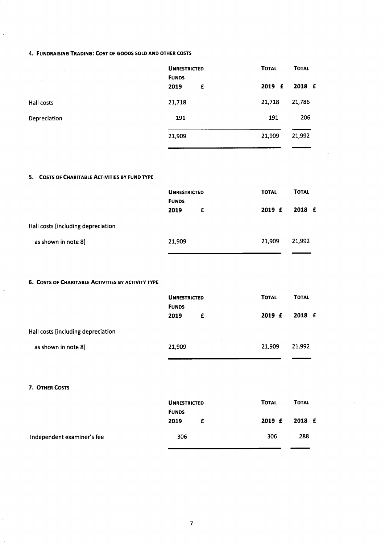## 4. FUNDRAISING TRADING: COST OF GOODS SOLD AND OTHER COSTS

| <b>COLLECT</b> | <b>UNRESTRICTED</b><br><b>FUNDS</b> | <b>TOTAL</b><br><b>TOTAL</b> |
|----------------|-------------------------------------|------------------------------|
|                | 2019<br>£                           | 2018 £<br>2019 £             |
| Hall costs     | 21,718                              | 21,718<br>21,786             |
| Depreciation   | 191                                 | 191<br>206                   |
|                | 21,909                              | 21,992<br>21,909             |
|                |                                     |                              |

## 5. COSTS OF CHARITABLE ACTIVITIES BY FUND TYPE

|                                    | <b>UNRESTRICTED</b><br><b>FUNDS</b> | <b>TOTAL</b> | <b>TOTAL</b> |
|------------------------------------|-------------------------------------|--------------|--------------|
|                                    | 2019<br>£                           | 2019 F       | 2018 £       |
| Hall costs [including depreciation |                                     |              |              |
| as shown in note 8]                | 21,909                              | 21,909       | 21,992       |
|                                    |                                     |              |              |

## 6. COSTS OF CHARITABLE ACTIVITIES BY ACTIVITY TYPE

|                                    | <b>UNRESTRICTED</b> | <b>TOTAL</b> | <b>TOTAL</b> |  |
|------------------------------------|---------------------|--------------|--------------|--|
|                                    | <b>FUNDS</b>        |              |              |  |
|                                    | 2019<br>£           | 2019 F       | 2018 £       |  |
| Hall costs [including depreciation |                     |              |              |  |
| as shown in note 8]                | 21,909              | 21.909       | 21,992       |  |

#### 7. OTHER COSTS

 $\frac{1}{2}$ 

|                            | <b>UNRESTRICTED</b><br><b>FUNDS</b> | <b>TOTAL</b> | <b>TOTAL</b>  |
|----------------------------|-------------------------------------|--------------|---------------|
|                            | 2019<br>£                           |              | 2019 £ 2018 £ |
| Independent examiner's fee | 306                                 | 306          | 288           |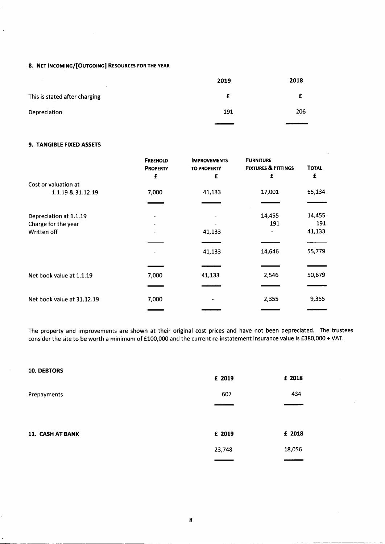## 8. NET INCOMING/[OUTGOING] RESOURCES FOR THE YEAR

| $\sim$                        | 2019 | 2018 |
|-------------------------------|------|------|
| This is stated after charging |      |      |
| Depreciation                  | 191  | 206  |

## 9. TANGIBLE FIXED ASSETS

|                            | <b>FREEHOLD</b><br><b>PROPERTY</b><br>£ | <b>IMPROVEMENTS</b><br><b>TO PROPERTY</b><br>£ | <b>FURNITURE</b><br><b>FIXTURES &amp; FITTINGS</b><br>£ | <b>TOTAL</b><br>£ |
|----------------------------|-----------------------------------------|------------------------------------------------|---------------------------------------------------------|-------------------|
| Cost or valuation at       |                                         |                                                |                                                         |                   |
| 1.1.19 & 31.12.19          | 7,000                                   | 41,133                                         | 17,001                                                  | 65,134            |
|                            |                                         |                                                |                                                         |                   |
| Depreciation at 1.1.19     |                                         |                                                | 14,455                                                  | 14,455            |
| Charge for the year        |                                         |                                                | 191                                                     | 191               |
| Written off                |                                         | 41,133                                         |                                                         | 41,133            |
|                            |                                         |                                                |                                                         |                   |
|                            |                                         | 41,133                                         | 14,646                                                  | 55,779            |
|                            |                                         |                                                |                                                         |                   |
| Net book value at 1.1.19   | 7,000                                   | 41,133                                         | 2,546                                                   | 50,679            |
|                            |                                         |                                                |                                                         |                   |
| Net book value at 31.12.19 | 7,000                                   |                                                | 2,355                                                   | 9,355             |
|                            |                                         |                                                |                                                         |                   |

The property and improvements are shown at their original cost prices and have not been depreciated. The trustees consider the site to be worth a minimum of £100,000 and the current re-instatement insurance value is £380,000 + VAT.

| <b>10. DEBTORS</b> | £ 2019 | £ 2018 |
|--------------------|--------|--------|
| Prepayments        | 607    | 434    |
|                    |        |        |
| 11. CASH AT BANK   | £ 2019 | £ 2018 |
|                    | 23,748 | 18,056 |
|                    |        |        |